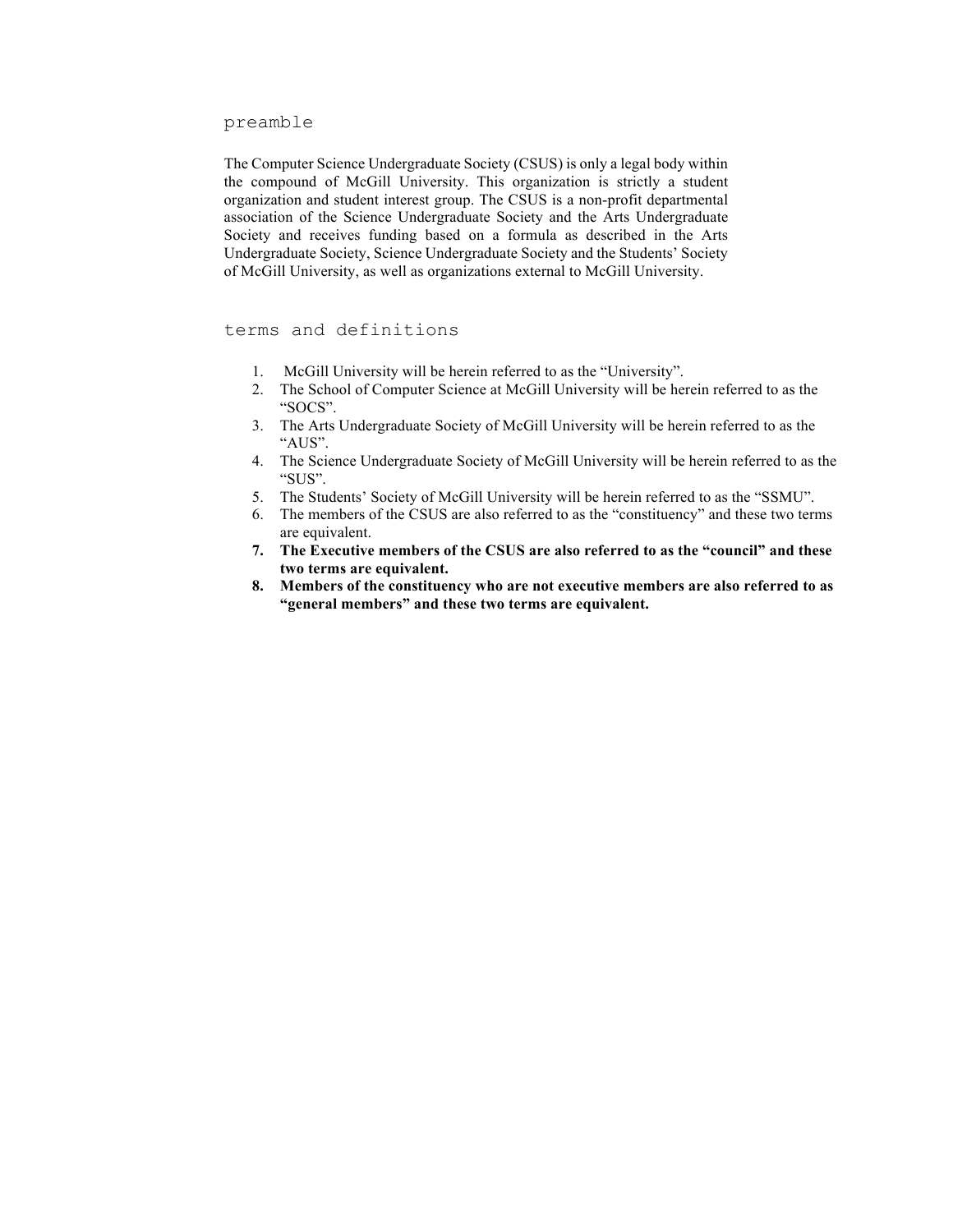preamble

The Computer Science Undergraduate Society (CSUS) is only a legal body within the compound of McGill University. This organization is strictly a student organization and student interest group. The CSUS is a non-profit departmental association of the Science Undergraduate Society and the Arts Undergraduate Society and receives funding based on a formula as described in the Arts Undergraduate Society, Science Undergraduate Society and the Students' Society of McGill University, as well as organizations external to McGill University.

terms and definitions

- 1. McGill University will be herein referred to as the "University".
- 2. The School of Computer Science at McGill University will be herein referred to as the "SOCS".
- 3. The Arts Undergraduate Society of McGill University will be herein referred to as the "AUS".
- 4. The Science Undergraduate Society of McGill University will be herein referred to as the "SUS".
- 5. The Students' Society of McGill University will be herein referred to as the "SSMU".
- 6. The members of the CSUS are also referred to as the "constituency" and these two terms are equivalent.
- **7. The Executive members of the CSUS are also referred to as the "council" and these two terms are equivalent.**
- **8. Members of the constituency who are not executive members are also referred to as "general members" and these two terms are equivalent.**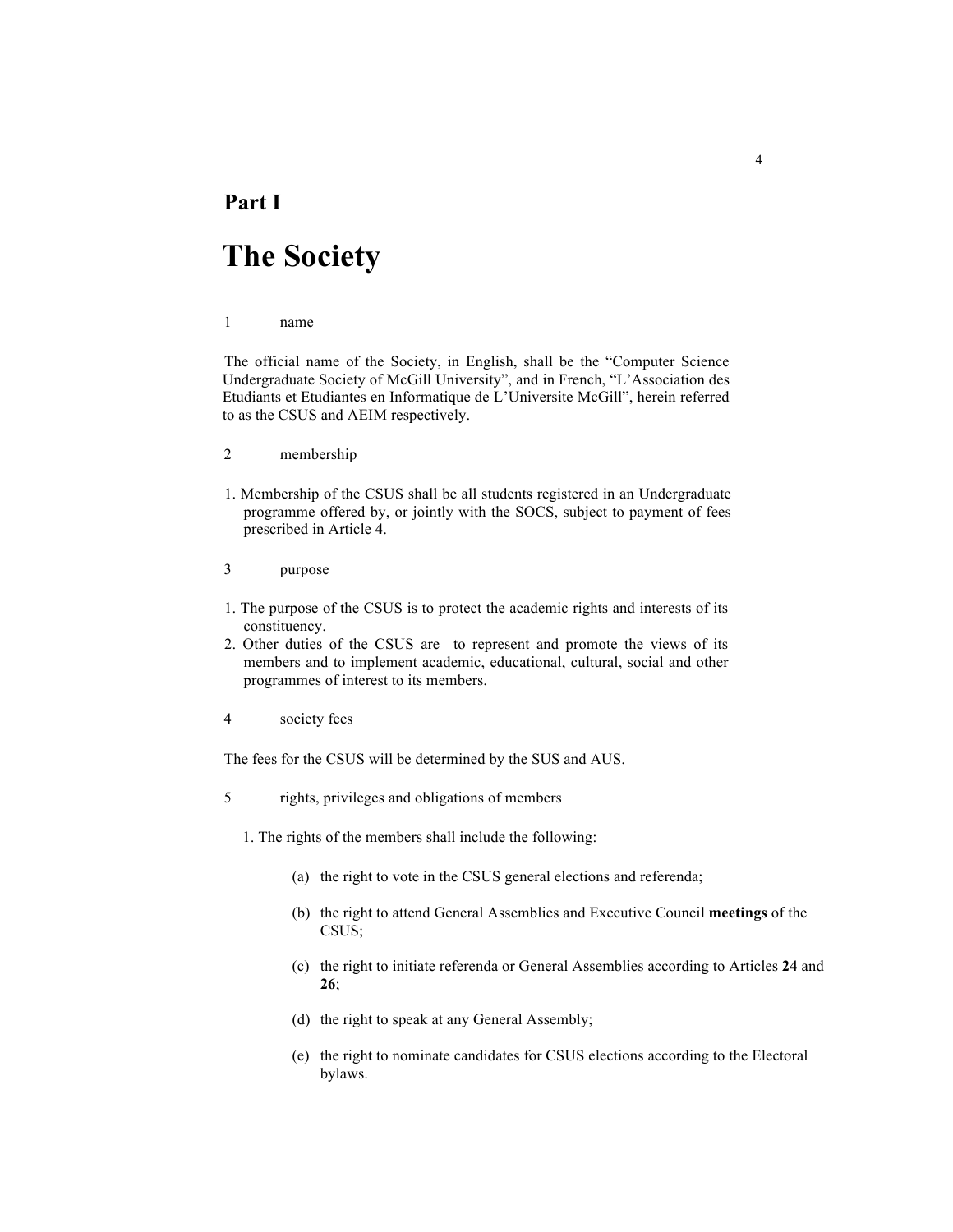### **Part I**

# **The Society**

#### 1 name

The official name of the Society, in English, shall be the "Computer Science Undergraduate Society of McGill University", and in French, "L'Association des Etudiants et Etudiantes en Informatique de L'Universite McGill", herein referred to as the CSUS and AEIM respectively.

- 2 membership
- 1. Membership of the CSUS shall be all students registered in an Undergraduate programme offered by, or jointly with the SOCS, subject to payment of fees prescribed in Article **4**.
- 3 purpose
- 1. The purpose of the CSUS is to protect the academic rights and interests of its constituency.
- 2. Other duties of the CSUS are to represent and promote the views of its members and to implement academic, educational, cultural, social and other programmes of interest to its members.
- 4 society fees

The fees for the CSUS will be determined by the SUS and AUS.

- 5 rights, privileges and obligations of members
	- 1. The rights of the members shall include the following:
		- (a) the right to vote in the CSUS general elections and referenda;
		- (b) the right to attend General Assemblies and Executive Council **meetings** of the CSUS;
		- (c) the right to initiate referenda or General Assemblies according to Articles **24** and **26**;
		- (d) the right to speak at any General Assembly;
		- (e) the right to nominate candidates for CSUS elections according to the Electoral bylaws.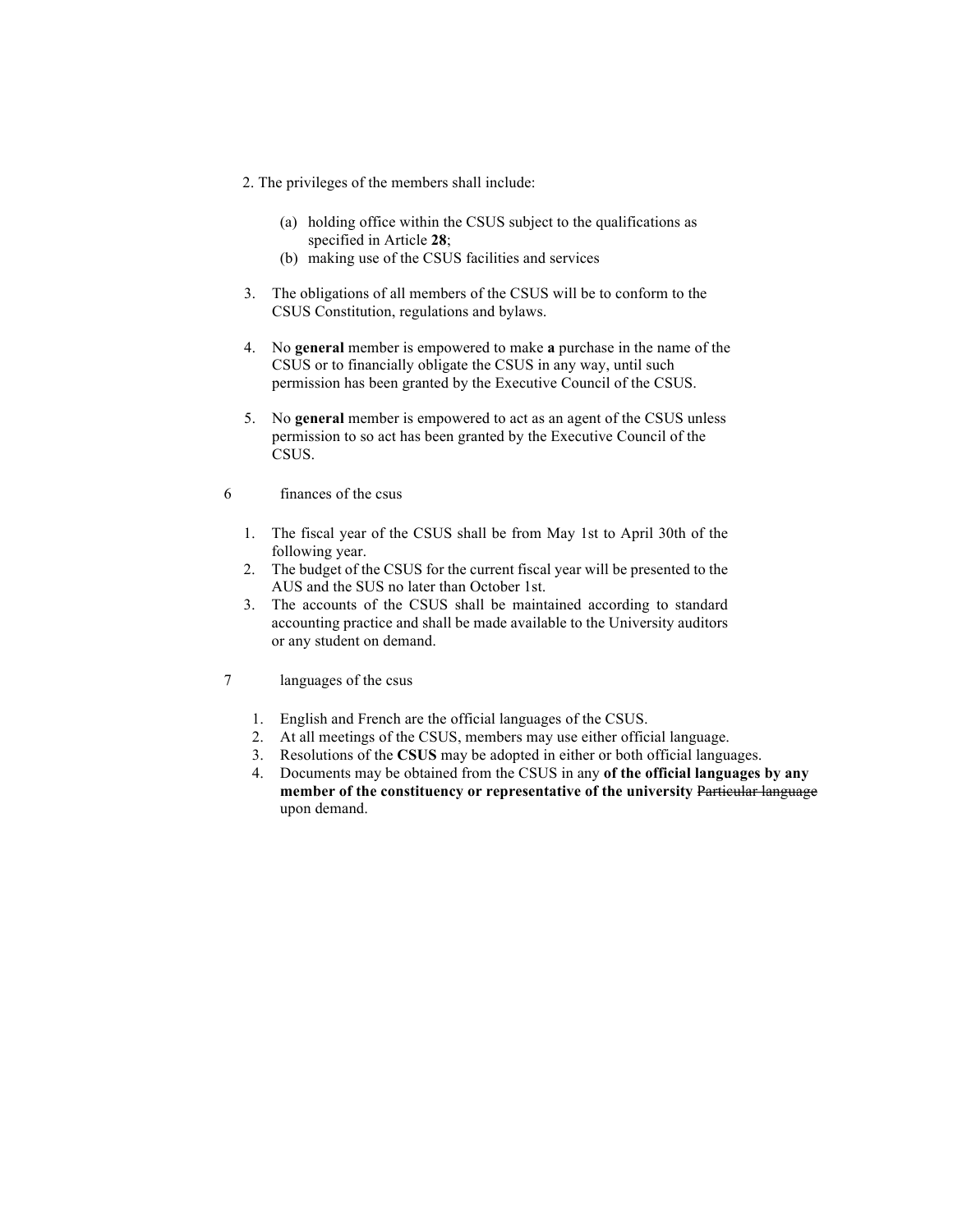- 2. The privileges of the members shall include:
	- (a) holding office within the CSUS subject to the qualifications as specified in Article **28**;
	- (b) making use of the CSUS facilities and services
- 3. The obligations of all members of the CSUS will be to conform to the CSUS Constitution, regulations and bylaws.
- 4. No **general** member is empowered to make **a** purchase in the name of the CSUS or to financially obligate the CSUS in any way, until such permission has been granted by the Executive Council of the CSUS.
- 5. No **general** member is empowered to act as an agent of the CSUS unless permission to so act has been granted by the Executive Council of the CSUS.
- 6 finances of the csus
	- 1. The fiscal year of the CSUS shall be from May 1st to April 30th of the following year.
	- 2. The budget of the CSUS for the current fiscal year will be presented to the AUS and the SUS no later than October 1st.
	- 3. The accounts of the CSUS shall be maintained according to standard accounting practice and shall be made available to the University auditors or any student on demand.
- 7 languages of the csus
	- 1. English and French are the official languages of the CSUS.
	- 2. At all meetings of the CSUS, members may use either official language.
	- 3. Resolutions of the **CSUS** may be adopted in either or both official languages.
	- 4. Documents may be obtained from the CSUS in any **of the official languages by any member of the constituency or representative of the university** Particular language upon demand.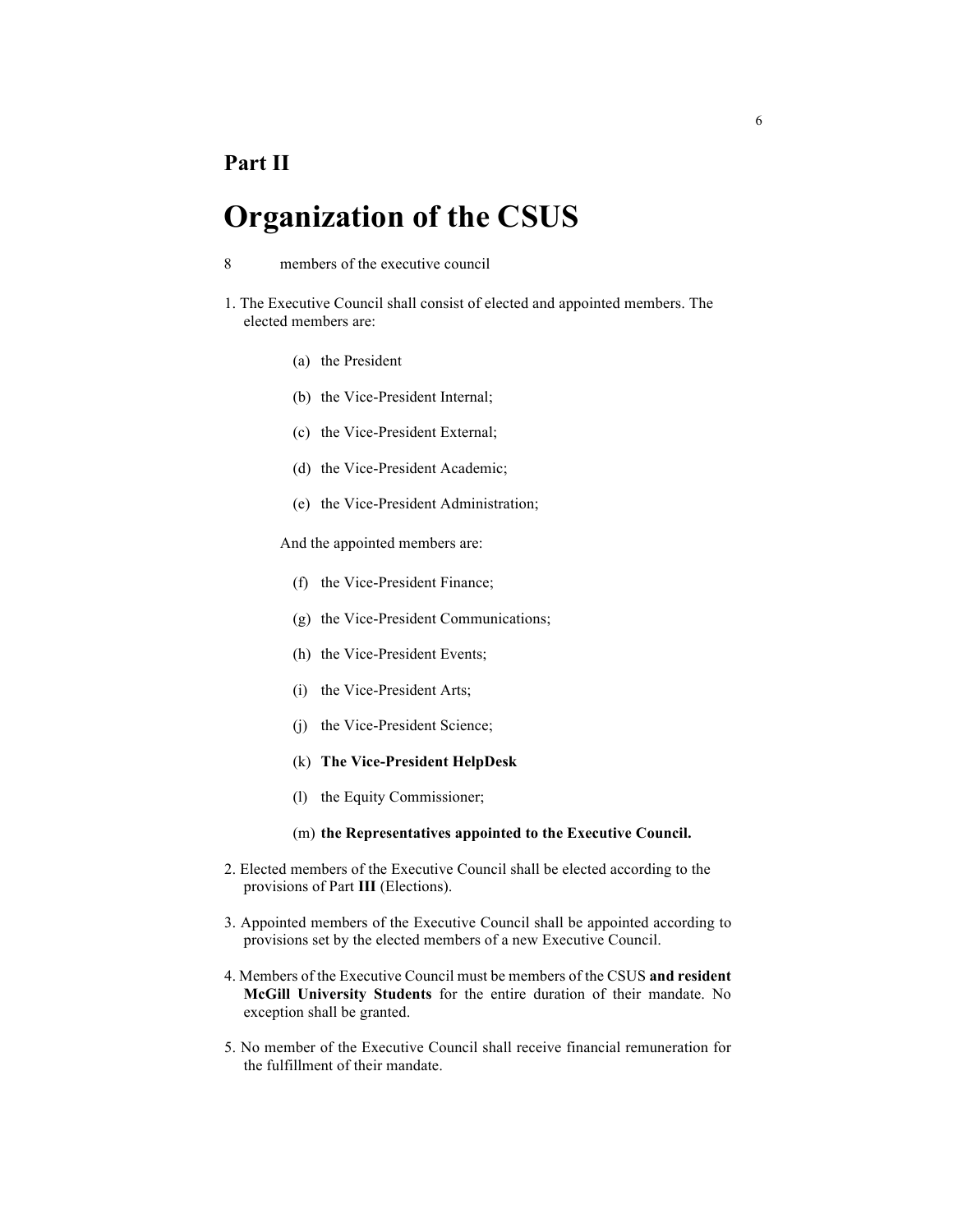### **Organization of the CSUS**

- 8 members of the executive council
- 1. The Executive Council shall consist of elected and appointed members. The elected members are:
	- (a) the President
	- (b) the Vice-President Internal;
	- (c) the Vice-President External;
	- (d) the Vice-President Academic;
	- (e) the Vice-President Administration;

And the appointed members are:

- (f) the Vice-President Finance;
- (g) the Vice-President Communications;
- (h) the Vice-President Events;
- (i) the Vice-President Arts;
- (j) the Vice-President Science;
- (k) **The Vice-President HelpDesk**
- (l) the Equity Commissioner;
- (m) **the Representatives appointed to the Executive Council.**
- 2. Elected members of the Executive Council shall be elected according to the provisions of Part **III** (Elections).
- 3. Appointed members of the Executive Council shall be appointed according to provisions set by the elected members of a new Executive Council.
- 4. Members of the Executive Council must be members of the CSUS **and resident McGill University Students** for the entire duration of their mandate. No exception shall be granted.
- 5. No member of the Executive Council shall receive financial remuneration for the fulfillment of their mandate.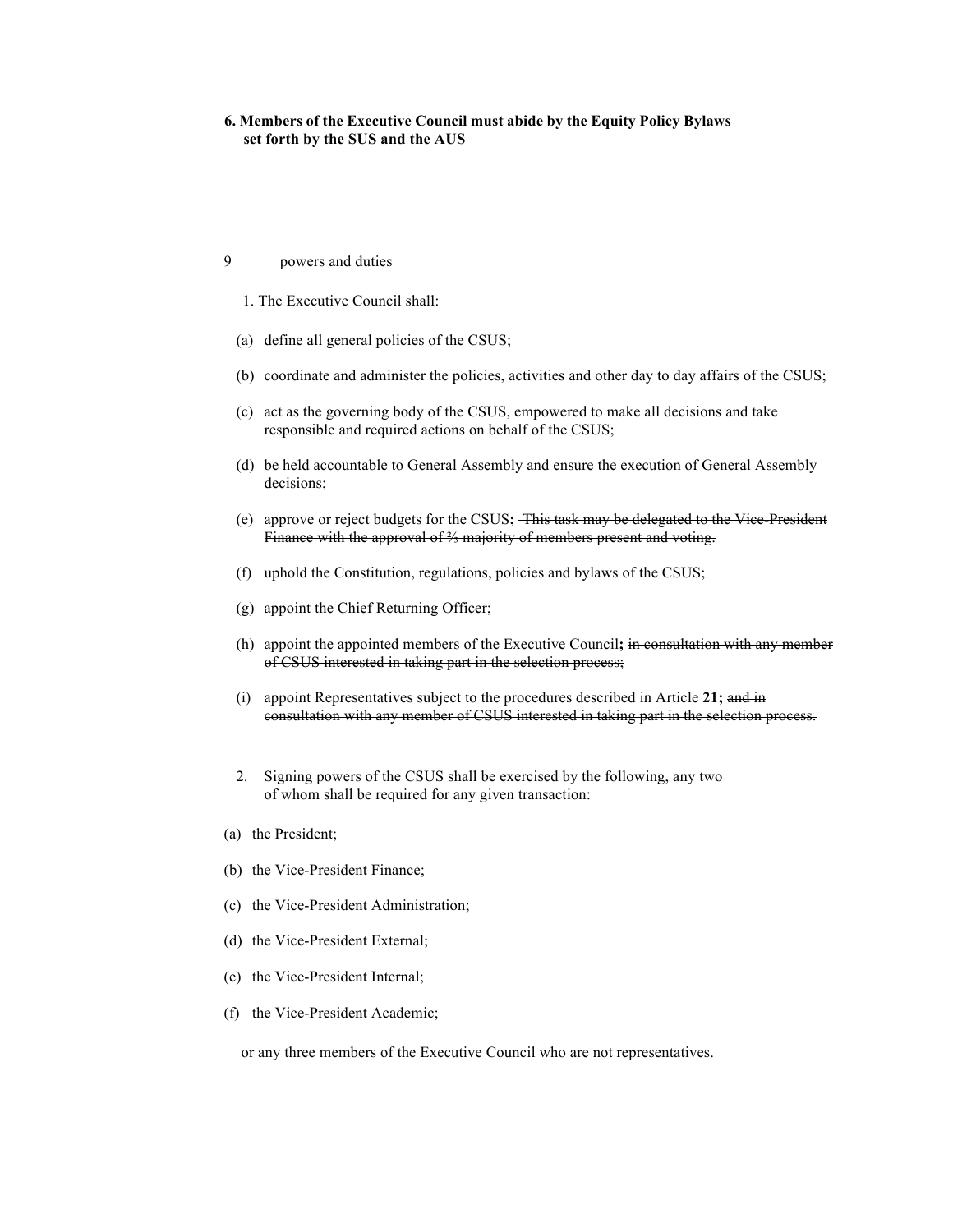#### **6. Members of the Executive Council must abide by the Equity Policy Bylaws set forth by the SUS and the AUS**

- 9 powers and duties
	- 1. The Executive Council shall:
	- (a) define all general policies of the CSUS;
	- (b) coordinate and administer the policies, activities and other day to day affairs of the CSUS;
	- (c) act as the governing body of the CSUS, empowered to make all decisions and take responsible and required actions on behalf of the CSUS;
	- (d) be held accountable to General Assembly and ensure the execution of General Assembly decisions;
	- (e) approve or reject budgets for the CSUS**;** This task may be delegated to the Vice-President Finance with the approval of ⅔ majority of members present and voting.
	- (f) uphold the Constitution, regulations, policies and bylaws of the CSUS;
	- (g) appoint the Chief Returning Officer;
	- (h) appoint the appointed members of the Executive Council**;** in consultation with any member of CSUS interested in taking part in the selection process;
	- (i) appoint Representatives subject to the procedures described in Article **21;** and in consultation with any member of CSUS interested in taking part in the selection process.
	- 2. Signing powers of the CSUS shall be exercised by the following, any two of whom shall be required for any given transaction:
- (a) the President;
- (b) the Vice-President Finance;
- (c) the Vice-President Administration;
- (d) the Vice-President External;
- (e) the Vice-President Internal;
- (f) the Vice-President Academic;

or any three members of the Executive Council who are not representatives.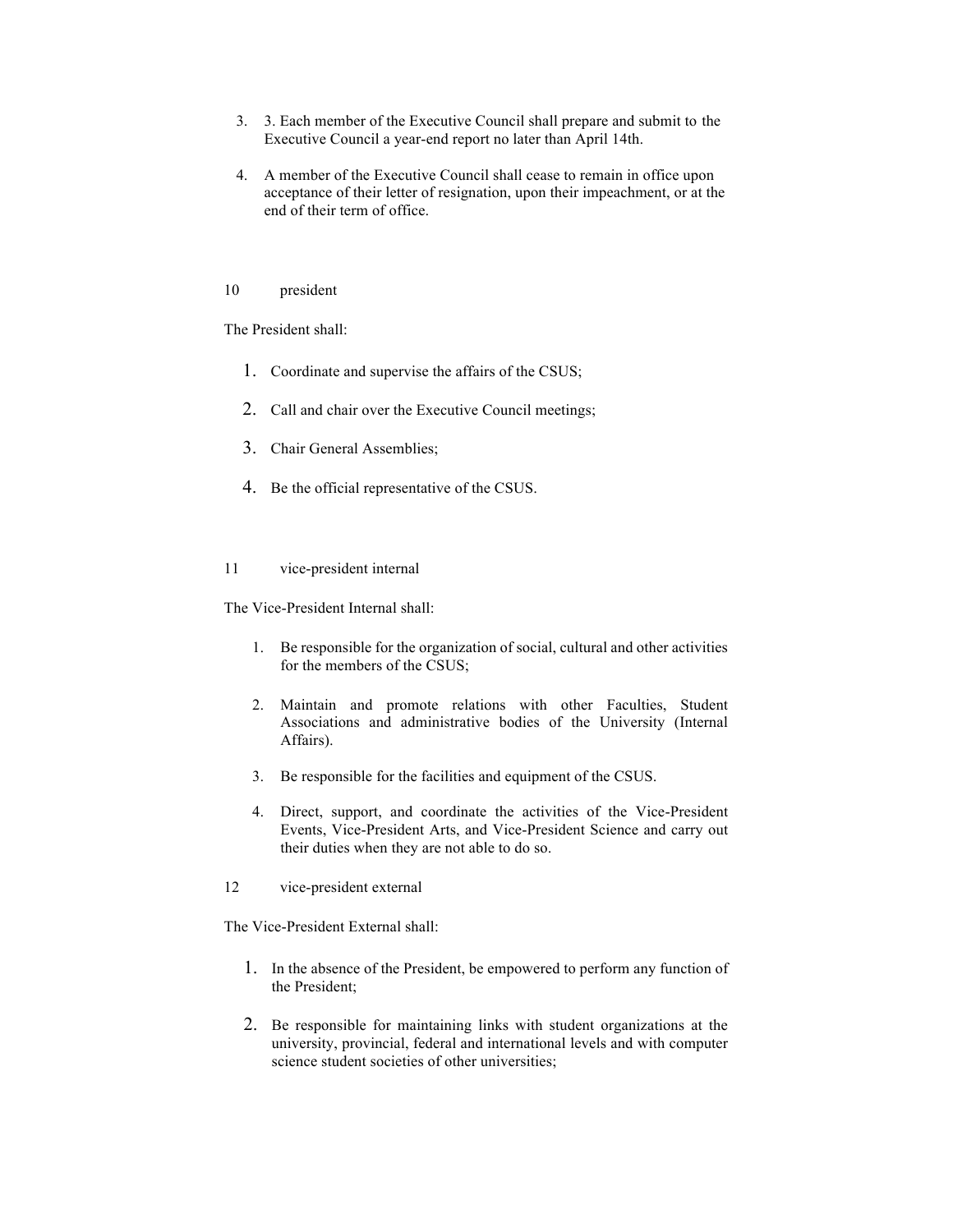- 3. 3. Each member of the Executive Council shall prepare and submit to the Executive Council a year-end report no later than April 14th.
- 4. A member of the Executive Council shall cease to remain in office upon acceptance of their letter of resignation, upon their impeachment, or at the end of their term of office.

#### 10 president

The President shall:

- 1. Coordinate and supervise the affairs of the CSUS;
- 2. Call and chair over the Executive Council meetings;
- 3. Chair General Assemblies;
- 4. Be the official representative of the CSUS.

#### 11 vice-president internal

The Vice-President Internal shall:

- 1. Be responsible for the organization of social, cultural and other activities for the members of the CSUS;
- 2. Maintain and promote relations with other Faculties, Student Associations and administrative bodies of the University (Internal Affairs).
- 3. Be responsible for the facilities and equipment of the CSUS.
- 4. Direct, support, and coordinate the activities of the Vice-President Events, Vice-President Arts, and Vice-President Science and carry out their duties when they are not able to do so.
- 12 vice-president external

The Vice-President External shall:

- 1. In the absence of the President, be empowered to perform any function of the President;
- 2. Be responsible for maintaining links with student organizations at the university, provincial, federal and international levels and with computer science student societies of other universities;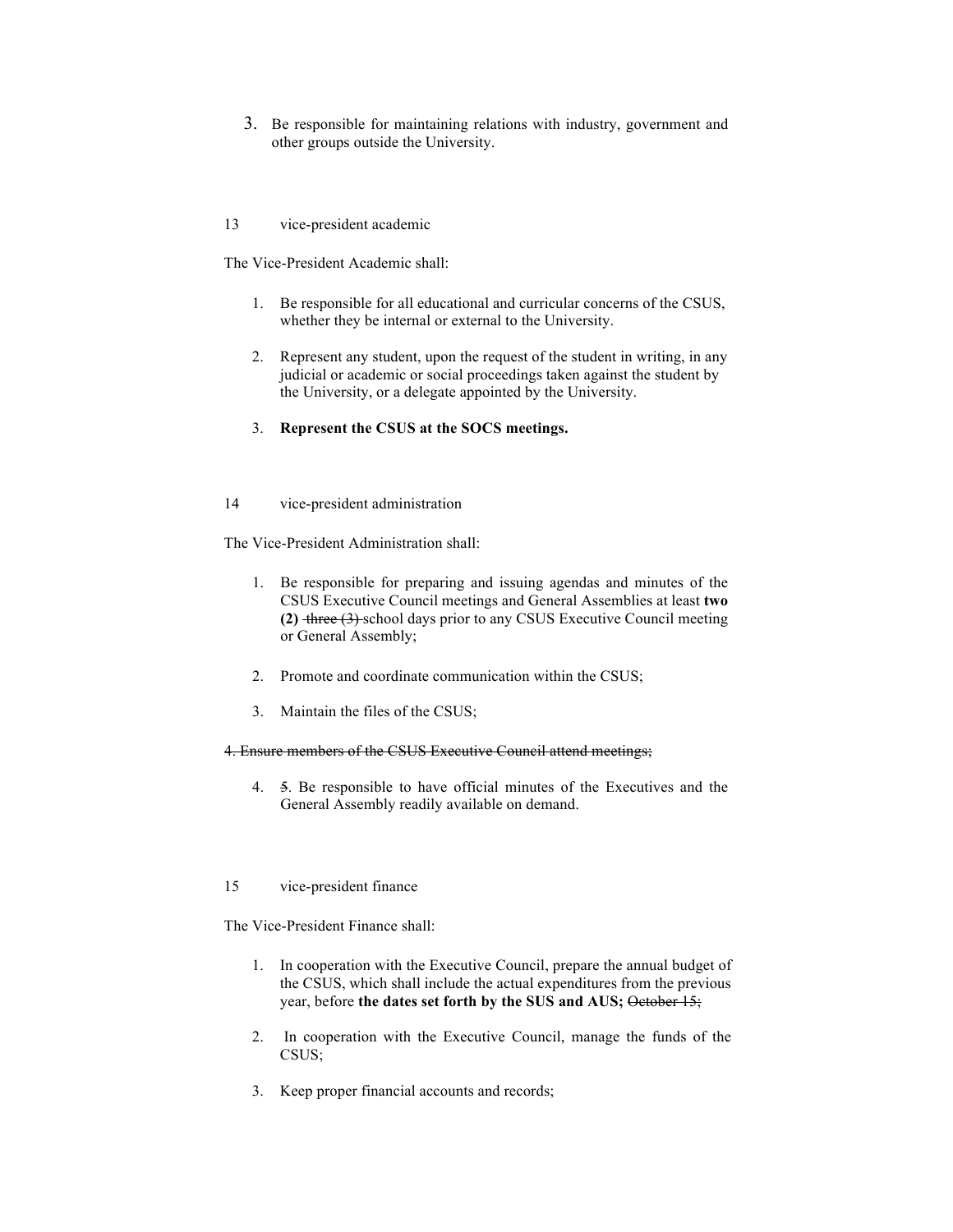3. Be responsible for maintaining relations with industry, government and other groups outside the University.

13 vice-president academic

The Vice-President Academic shall:

- 1. Be responsible for all educational and curricular concerns of the CSUS, whether they be internal or external to the University.
- 2. Represent any student, upon the request of the student in writing, in any judicial or academic or social proceedings taken against the student by the University, or a delegate appointed by the University.
- 3. **Represent the CSUS at the SOCS meetings.**
- 14 vice-president administration

The Vice-President Administration shall:

- 1. Be responsible for preparing and issuing agendas and minutes of the CSUS Executive Council meetings and General Assemblies at least **two (2)** three (3) school days prior to any CSUS Executive Council meeting or General Assembly;
- 2. Promote and coordinate communication within the CSUS;
- 3. Maintain the files of the CSUS;

#### 4. Ensure members of the CSUS Executive Council attend meetings;

- 4. 5. Be responsible to have official minutes of the Executives and the General Assembly readily available on demand.
- 15 vice-president finance

The Vice-President Finance shall:

- 1. In cooperation with the Executive Council, prepare the annual budget of the CSUS, which shall include the actual expenditures from the previous year, before the dates set forth by the SUS and AUS; October 15;
- 2. In cooperation with the Executive Council, manage the funds of the CSUS;
- 3. Keep proper financial accounts and records;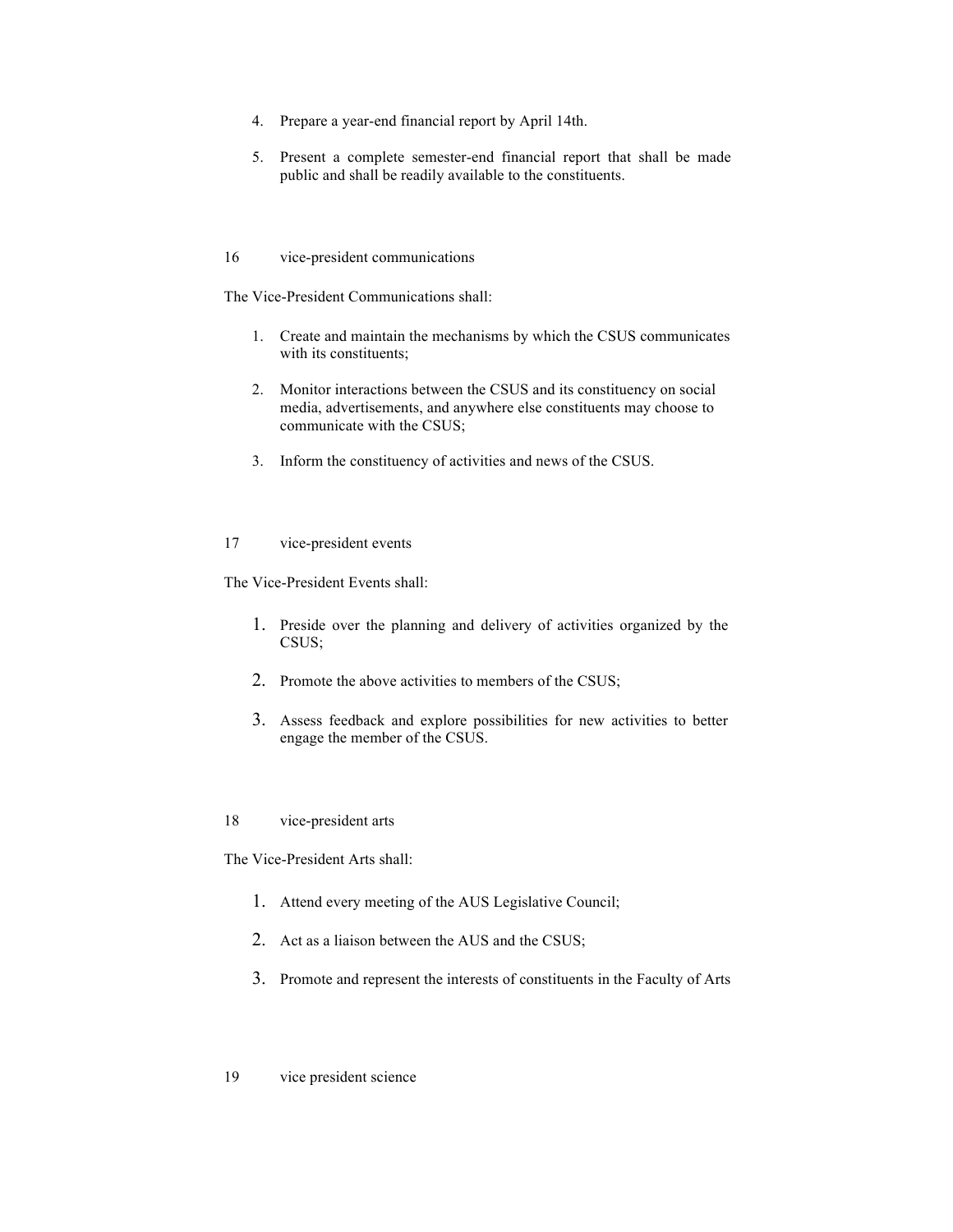- 4. Prepare a year-end financial report by April 14th.
- 5. Present a complete semester-end financial report that shall be made public and shall be readily available to the constituents.
- 16 vice-president communications

The Vice-President Communications shall:

- 1. Create and maintain the mechanisms by which the CSUS communicates with its constituents;
- 2. Monitor interactions between the CSUS and its constituency on social media, advertisements, and anywhere else constituents may choose to communicate with the CSUS;
- 3. Inform the constituency of activities and news of the CSUS.

#### 17 vice-president events

The Vice-President Events shall:

- 1. Preside over the planning and delivery of activities organized by the CSUS;
- 2. Promote the above activities to members of the CSUS;
- 3. Assess feedback and explore possibilities for new activities to better engage the member of the CSUS.

18 vice-president arts

The Vice-President Arts shall:

- 1. Attend every meeting of the AUS Legislative Council;
- 2. Act as a liaison between the AUS and the CSUS;
- 3. Promote and represent the interests of constituents in the Faculty of Arts
- 19 vice president science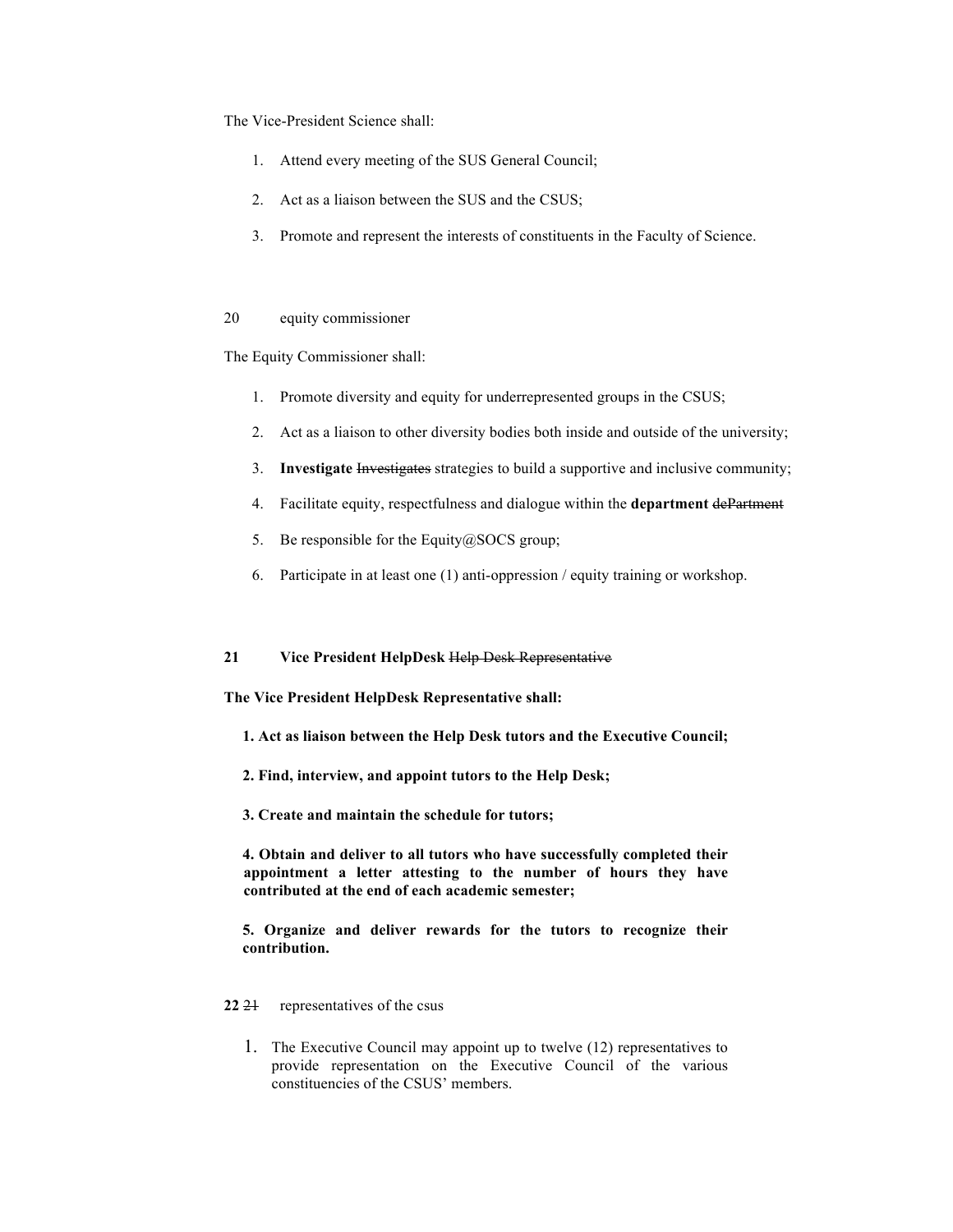The Vice-President Science shall:

- 1. Attend every meeting of the SUS General Council;
- 2. Act as a liaison between the SUS and the CSUS;
- 3. Promote and represent the interests of constituents in the Faculty of Science.

#### 20 equity commissioner

The Equity Commissioner shall:

- 1. Promote diversity and equity for underrepresented groups in the CSUS;
- 2. Act as a liaison to other diversity bodies both inside and outside of the university;
- 3. **Investigate** Investigates strategies to build a supportive and inclusive community;
- 4. Facilitate equity, respectfulness and dialogue within the **department** dePartment
- 5. Be responsible for the Equity@SOCS group;
- 6. Participate in at least one (1) anti-oppression / equity training or workshop.

#### **21 Vice President HelpDesk** Help Desk Representative

**The Vice President HelpDesk Representative shall:**

- **1. Act as liaison between the Help Desk tutors and the Executive Council;**
- **2. Find, interview, and appoint tutors to the Help Desk;**
- **3. Create and maintain the schedule for tutors;**

**4. Obtain and deliver to all tutors who have successfully completed their appointment a letter attesting to the number of hours they have contributed at the end of each academic semester;**

**5. Organize and deliver rewards for the tutors to recognize their contribution.**

#### 22 <del>21</del> representatives of the csus

1. The Executive Council may appoint up to twelve (12) representatives to provide representation on the Executive Council of the various constituencies of the CSUS' members.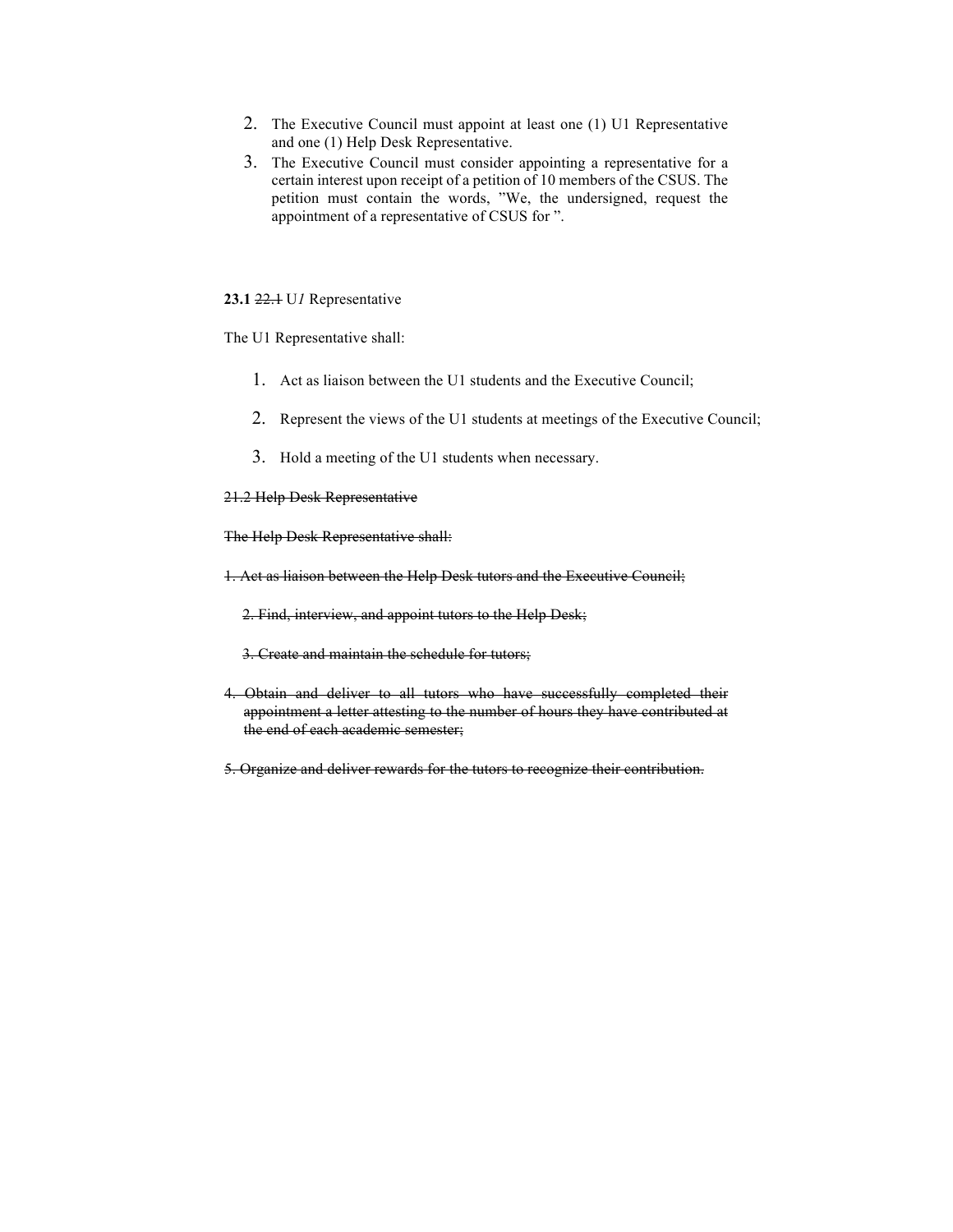- 2. The Executive Council must appoint at least one (1) U1 Representative and one (1) Help Desk Representative.
- 3. The Executive Council must consider appointing a representative for a certain interest upon receipt of a petition of 10 members of the CSUS. The petition must contain the words, "We, the undersigned, request the appointment of a representative of CSUS for ".

#### **23.1** 22.1 U*1* Representative

The U1 Representative shall:

- 1. Act as liaison between the U1 students and the Executive Council;
- 2. Represent the views of the U1 students at meetings of the Executive Council;
- 3. Hold a meeting of the U1 students when necessary.

#### 21.2 Help Desk Representative

The Help Desk Representative shall:

- 1. Act as liaison between the Help Desk tutors and the Executive Council;
	- 2. Find, interview, and appoint tutors to the Help Desk;
	- 3. Create and maintain the schedule for tutors;
- 4. Obtain and deliver to all tutors who have successfully completed their appointment a letter attesting to the number of hours they have contributed at the end of each academic semester;
- 5. Organize and deliver rewards for the tutors to recognize their contribution.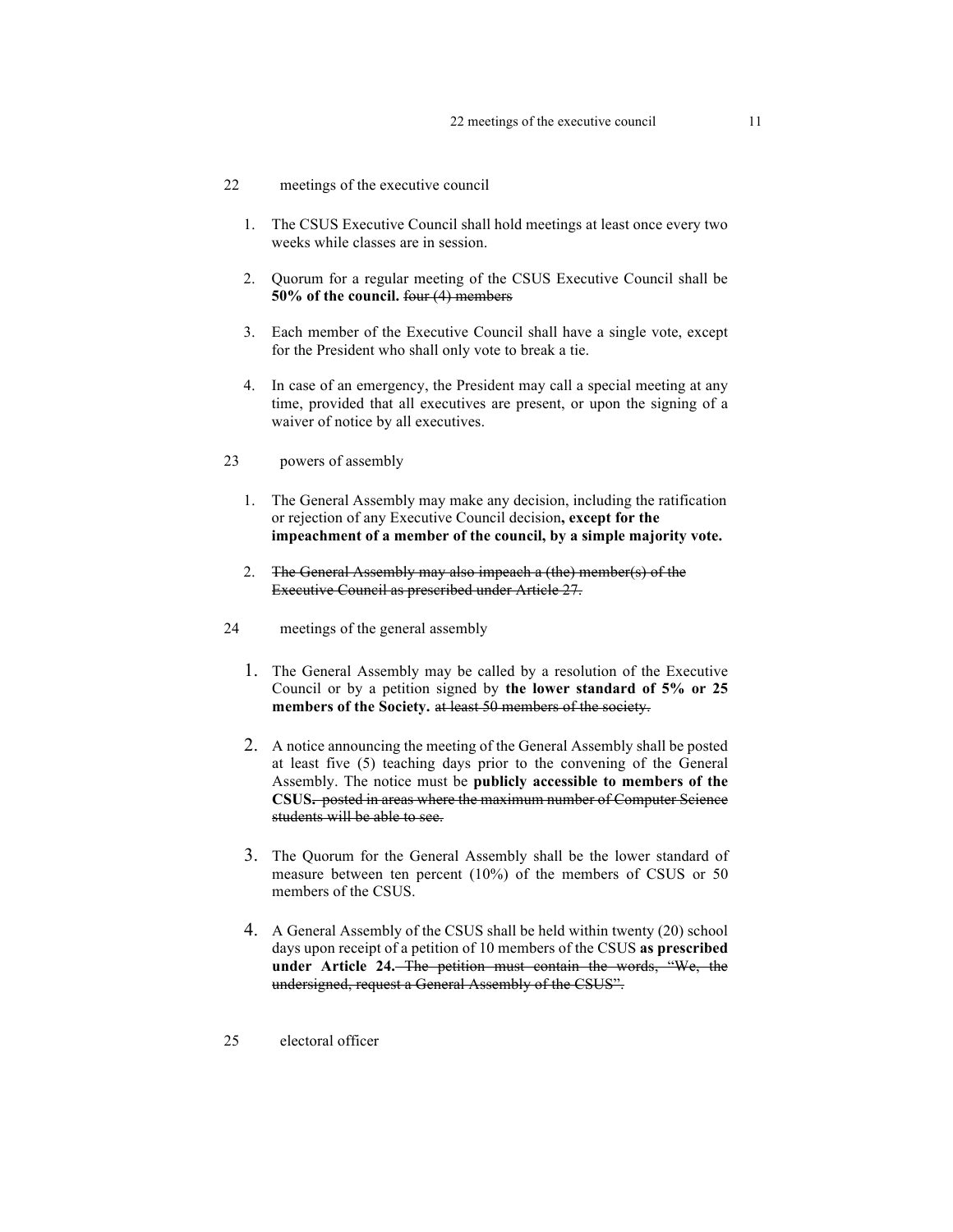- 22 meetings of the executive council
	- 1. The CSUS Executive Council shall hold meetings at least once every two weeks while classes are in session.
	- 2. Quorum for a regular meeting of the CSUS Executive Council shall be **50% of the council.** four (4) members
	- 3. Each member of the Executive Council shall have a single vote, except for the President who shall only vote to break a tie.
	- 4. In case of an emergency, the President may call a special meeting at any time, provided that all executives are present, or upon the signing of a waiver of notice by all executives.
- 23 powers of assembly
	- 1. The General Assembly may make any decision, including the ratification or rejection of any Executive Council decision**, except for the impeachment of a member of the council, by a simple majority vote.**
	- 2. The General Assembly may also impeach a (the) member(s) of the Executive Council as prescribed under Article 27.
- 24 meetings of the general assembly
	- 1. The General Assembly may be called by a resolution of the Executive Council or by a petition signed by **the lower standard of 5% or 25 members of the Society.** at least 50 members of the society.
	- 2. A notice announcing the meeting of the General Assembly shall be posted at least five (5) teaching days prior to the convening of the General Assembly. The notice must be **publicly accessible to members of the CSUS.** posted in areas where the maximum number of Computer Science students will be able to see.
	- 3. The Quorum for the General Assembly shall be the lower standard of measure between ten percent (10%) of the members of CSUS or 50 members of the CSUS.
	- 4. A General Assembly of the CSUS shall be held within twenty (20) school days upon receipt of a petition of 10 members of the CSUS **as prescribed under Article 24.** The petition must contain the words, "We, the undersigned, request a General Assembly of the CSUS".
- 25 electoral officer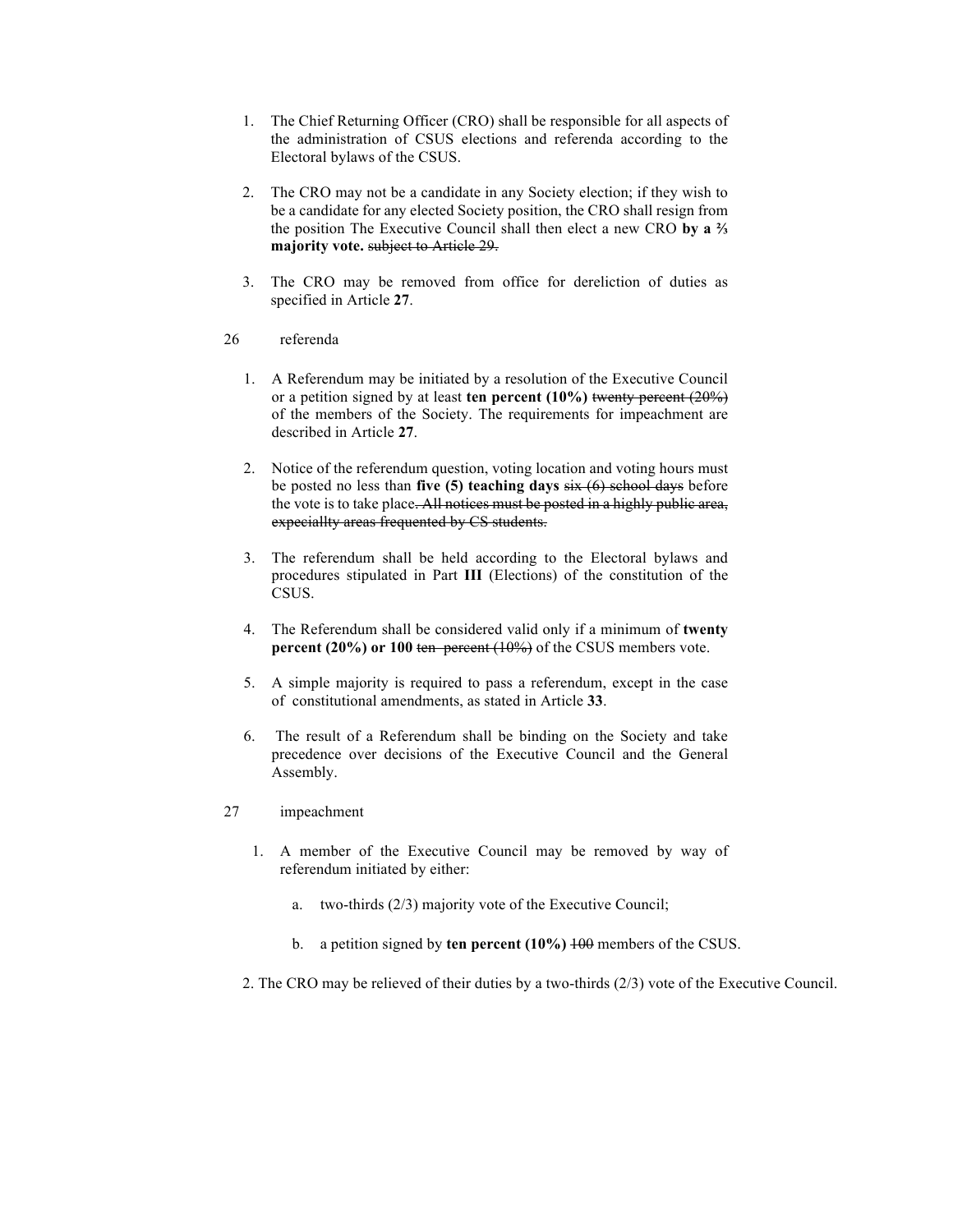- 1. The Chief Returning Officer (CRO) shall be responsible for all aspects of the administration of CSUS elections and referenda according to the Electoral bylaws of the CSUS.
- 2. The CRO may not be a candidate in any Society election; if they wish to be a candidate for any elected Society position, the CRO shall resign from the position The Executive Council shall then elect a new CRO **by a ⅔ majority vote.** subject to Article 29.
- 3. The CRO may be removed from office for dereliction of duties as specified in Article **27**.
- 26 referenda
	- 1. A Referendum may be initiated by a resolution of the Executive Council or a petition signed by at least **ten percent (10%)** twenty percent (20%) of the members of the Society. The requirements for impeachment are described in Article **27**.
	- 2. Notice of the referendum question, voting location and voting hours must be posted no less than **five (5) teaching days** six (6) school days before the vote is to take place. All notices must be posted in a highly public area, expeciallty areas frequented by CS students.
	- 3. The referendum shall be held according to the Electoral bylaws and procedures stipulated in Part **III** (Elections) of the constitution of the CSUS.
	- 4. The Referendum shall be considered valid only if a minimum of **twenty percent (20%) or 100 ten percent (10%)** of the CSUS members vote.
	- 5. A simple majority is required to pass a referendum, except in the case of constitutional amendments, as stated in Article **33**.
	- 6. The result of a Referendum shall be binding on the Society and take precedence over decisions of the Executive Council and the General Assembly.
- 27 impeachment
	- 1. A member of the Executive Council may be removed by way of referendum initiated by either:
		- a. two-thirds (2/3) majority vote of the Executive Council;
		- b. a petition signed by **ten percent (10%)** 100 members of the CSUS.
	- 2. The CRO may be relieved of their duties by a two-thirds (2/3) vote of the Executive Council.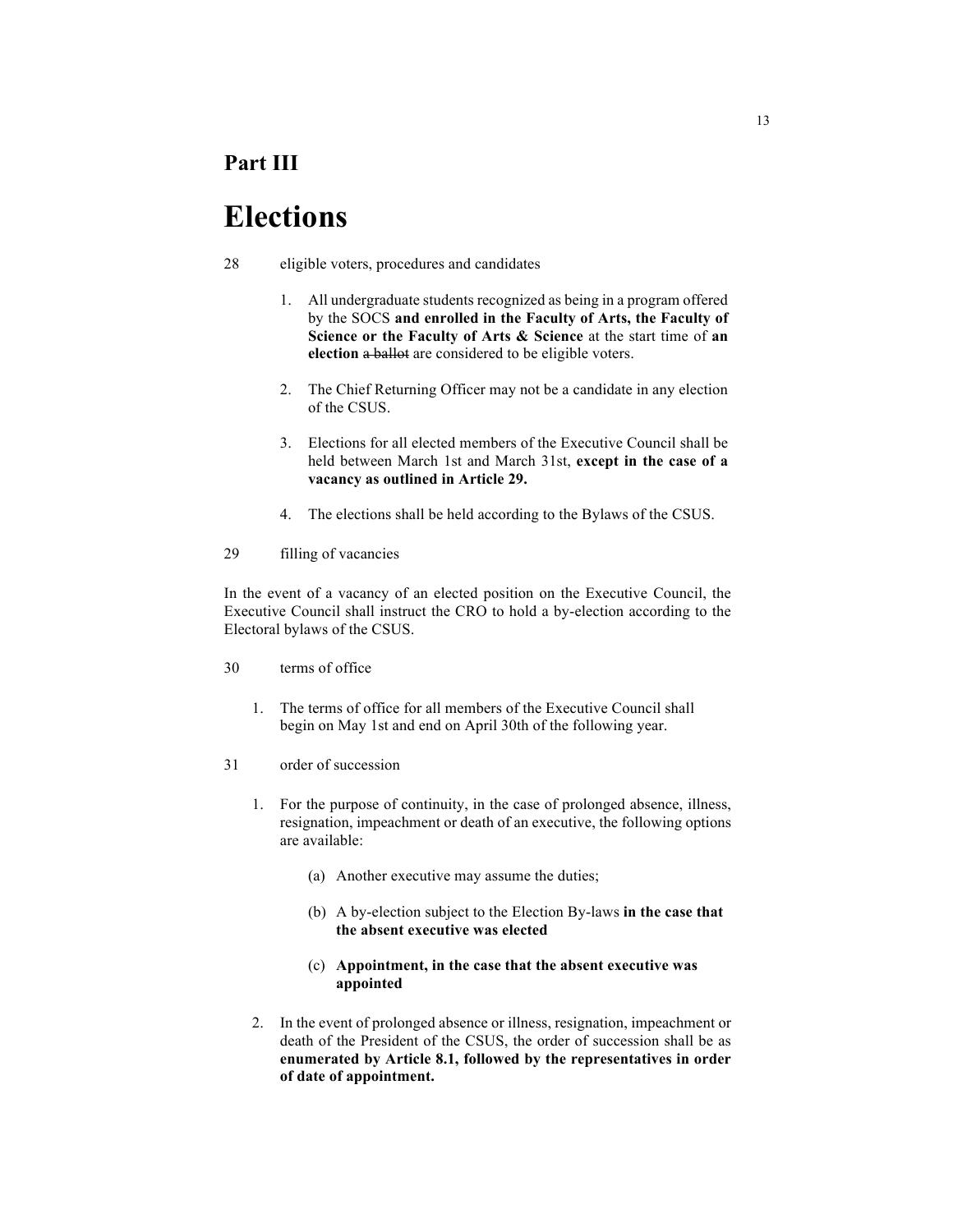### **Part III**

## **Elections**

- 28 eligible voters, procedures and candidates
	- 1. All undergraduate students recognized as being in a program offered by the SOCS **and enrolled in the Faculty of Arts, the Faculty of Science or the Faculty of Arts & Science** at the start time of **an election** a ballot are considered to be eligible voters.
	- 2. The Chief Returning Officer may not be a candidate in any election of the CSUS.
	- 3. Elections for all elected members of the Executive Council shall be held between March 1st and March 31st, **except in the case of a vacancy as outlined in Article 29.**
	- 4. The elections shall be held according to the Bylaws of the CSUS.
- 29 filling of vacancies

In the event of a vacancy of an elected position on the Executive Council, the Executive Council shall instruct the CRO to hold a by-election according to the Electoral bylaws of the CSUS.

- 30 terms of office
	- 1. The terms of office for all members of the Executive Council shall begin on May 1st and end on April 30th of the following year.
- 31 order of succession
	- 1. For the purpose of continuity, in the case of prolonged absence, illness, resignation, impeachment or death of an executive, the following options are available:
		- (a) Another executive may assume the duties;
		- (b) A by-election subject to the Election By-laws **in the case that the absent executive was elected**

#### (c) **Appointment, in the case that the absent executive was appointed**

2. In the event of prolonged absence or illness, resignation, impeachment or death of the President of the CSUS, the order of succession shall be as **enumerated by Article 8.1, followed by the representatives in order of date of appointment.**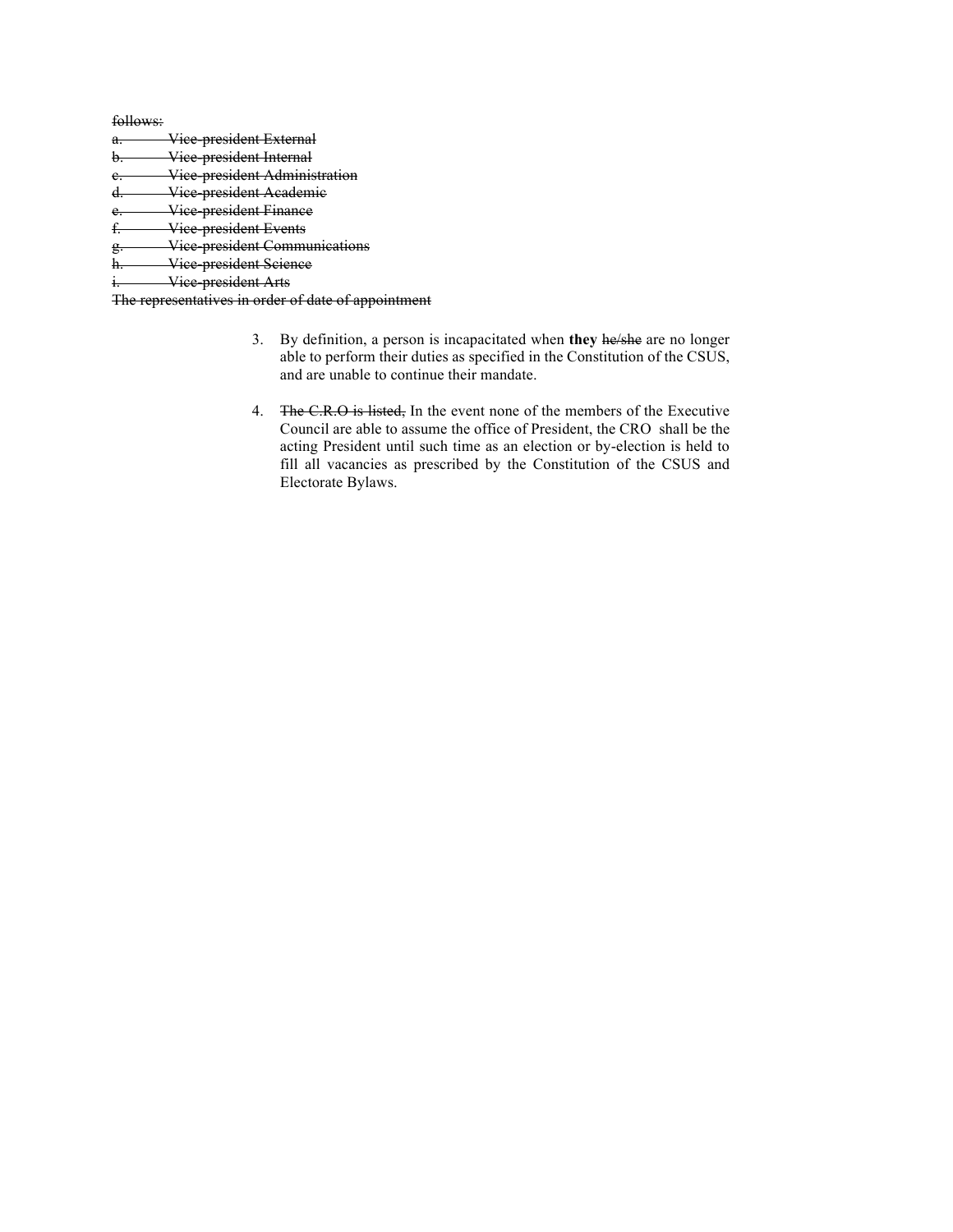follows:

- a. Vice president External
- b. Vice-president Internal
- e. Vice-president Administration
- d. Vice-president Academic
- e. Vice-president Finance
- f. Vice-president Events
- g. Vice-president Communications
- h. Vice-president Science

i. Vice president Arts

The representatives in order of date of appointment

- 3. By definition, a person is incapacitated when **they** he/she are no longer able to perform their duties as specified in the Constitution of the CSUS, and are unable to continue their mandate.
- 4. The C.R.O is listed, In the event none of the members of the Executive Council are able to assume the office of President, the CRO shall be the acting President until such time as an election or by-election is held to fill all vacancies as prescribed by the Constitution of the CSUS and Electorate Bylaws.